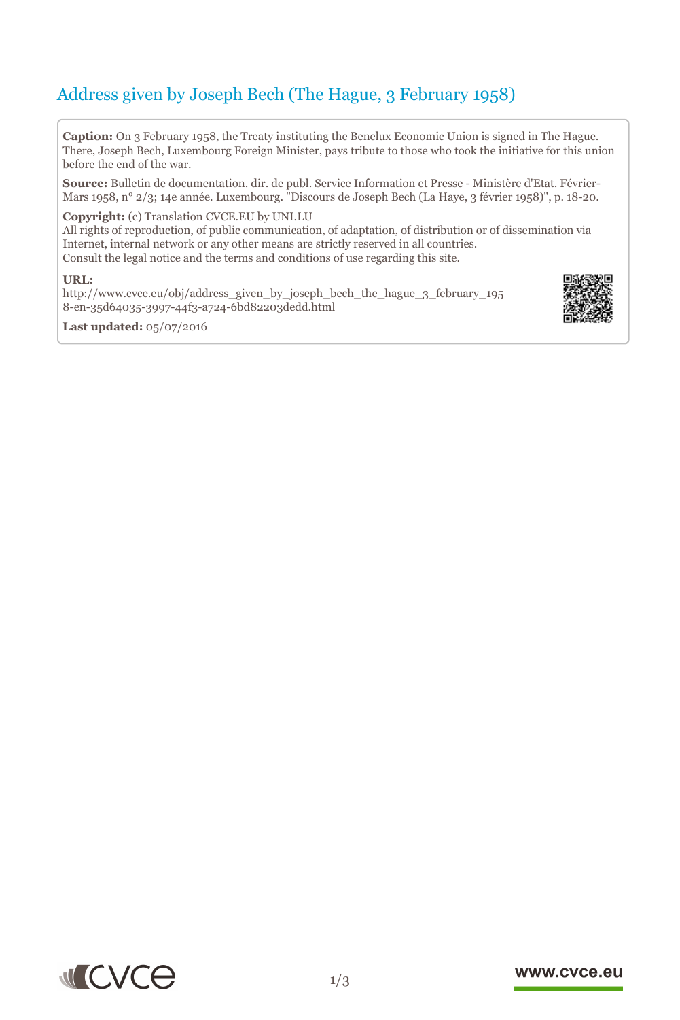# Address given by Joseph Bech (The Hague, 3 February 1958)

**Caption:** On 3 February 1958, the Treaty instituting the Benelux Economic Union is signed in The Hague. There, Joseph Bech, Luxembourg Foreign Minister, pays tribute to those who took the initiative for this union before the end of the war.

**Source:** Bulletin de documentation. dir. de publ. Service Information et Presse - Ministère d'Etat. Février-Mars 1958, n° 2/3; 14e année. Luxembourg. "Discours de Joseph Bech (La Haye, 3 février 1958)", p. 18-20.

### **Copyright:** (c) Translation CVCE.EU by UNI.LU

All rights of reproduction, of public communication, of adaptation, of distribution or of dissemination via Internet, internal network or any other means are strictly reserved in all countries. Consult the legal notice and the terms and conditions of use regarding this site.

#### **URL:**

http://www.cvce.eu/obj/address\_given\_by\_joseph\_bech\_the\_hague\_3\_february\_195 8-e[n-35d64035-3997-44f3-a724-6bd82203dedd.html](http://www.cvce.eu/obj/address_given_by_joseph_bech_the_hague_3_february_1958-en-35d64035-3997-44f3-a724-6bd82203dedd.html)







### www.cvce.eu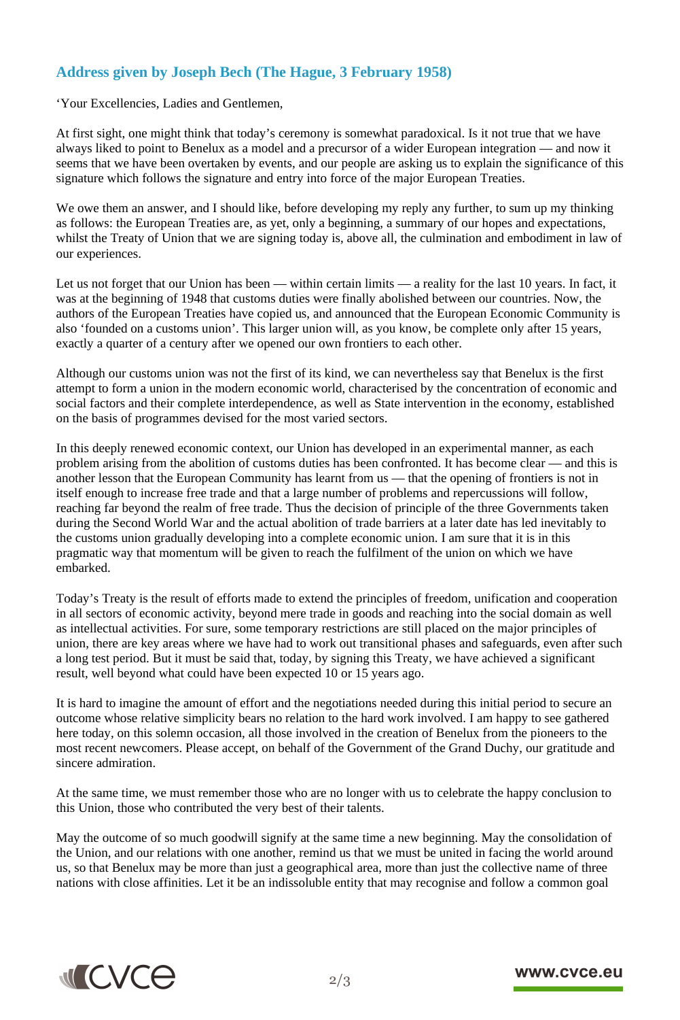## **Address given by Joseph Bech (The Hague, 3 February 1958)**

'Your Excellencies, Ladies and Gentlemen,

At first sight, one might think that today's ceremony is somewhat paradoxical. Is it not true that we have always liked to point to Benelux as a model and a precursor of a wider European integration — and now it seems that we have been overtaken by events, and our people are asking us to explain the significance of this signature which follows the signature and entry into force of the major European Treaties.

We owe them an answer, and I should like, before developing my reply any further, to sum up my thinking as follows: the European Treaties are, as yet, only a beginning, a summary of our hopes and expectations, whilst the Treaty of Union that we are signing today is, above all, the culmination and embodiment in law of our experiences.

Let us not forget that our Union has been — within certain limits — a reality for the last 10 years. In fact, it was at the beginning of 1948 that customs duties were finally abolished between our countries. Now, the authors of the European Treaties have copied us, and announced that the European Economic Community is also 'founded on a customs union'. This larger union will, as you know, be complete only after 15 years, exactly a quarter of a century after we opened our own frontiers to each other.

Although our customs union was not the first of its kind, we can nevertheless say that Benelux is the first attempt to form a union in the modern economic world, characterised by the concentration of economic and social factors and their complete interdependence, as well as State intervention in the economy, established on the basis of programmes devised for the most varied sectors.

In this deeply renewed economic context, our Union has developed in an experimental manner, as each problem arising from the abolition of customs duties has been confronted. It has become clear — and this is another lesson that the European Community has learnt from us — that the opening of frontiers is not in itself enough to increase free trade and that a large number of problems and repercussions will follow, reaching far beyond the realm of free trade. Thus the decision of principle of the three Governments taken during the Second World War and the actual abolition of trade barriers at a later date has led inevitably to the customs union gradually developing into a complete economic union. I am sure that it is in this pragmatic way that momentum will be given to reach the fulfilment of the union on which we have embarked.

Today's Treaty is the result of efforts made to extend the principles of freedom, unification and cooperation in all sectors of economic activity, beyond mere trade in goods and reaching into the social domain as well as intellectual activities. For sure, some temporary restrictions are still placed on the major principles of union, there are key areas where we have had to work out transitional phases and safeguards, even after such a long test period. But it must be said that, today, by signing this Treaty, we have achieved a significant result, well beyond what could have been expected 10 or 15 years ago.

It is hard to imagine the amount of effort and the negotiations needed during this initial period to secure an outcome whose relative simplicity bears no relation to the hard work involved. I am happy to see gathered here today, on this solemn occasion, all those involved in the creation of Benelux from the pioneers to the most recent newcomers. Please accept, on behalf of the Government of the Grand Duchy, our gratitude and sincere admiration.

At the same time, we must remember those who are no longer with us to celebrate the happy conclusion to this Union, those who contributed the very best of their talents.

May the outcome of so much goodwill signify at the same time a new beginning. May the consolidation of the Union, and our relations with one another, remind us that we must be united in facing the world around us, so that Benelux may be more than just a geographical area, more than just the collective name of three nations with close affinities. Let it be an indissoluble entity that may recognise and follow a common goal



### www.cvce.eu